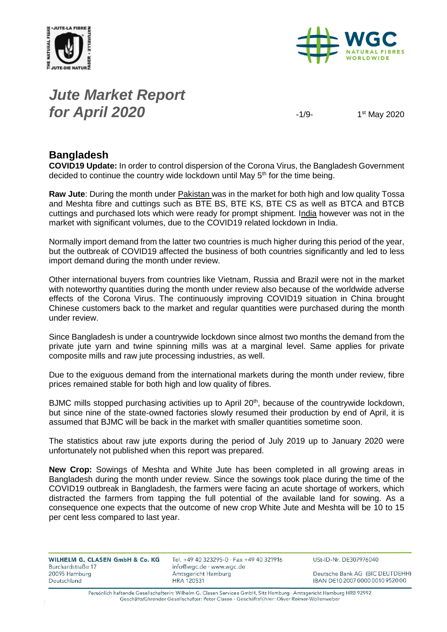



# *Jute Market Report for April 2020*  $-1/9-$

1<sup>st</sup> May 2020

#### **Bangladesh**

**COVID19 Update:** In order to control dispersion of the Corona Virus, the Bangladesh Government decided to continue the country wide lockdown until May 5<sup>th</sup> for the time being.

**Raw Jute**: During the month under Pakistan was in the market for both high and low quality Tossa and Meshta fibre and cuttings such as BTE BS, BTE KS, BTE CS as well as BTCA and BTCB cuttings and purchased lots which were ready for prompt shipment. India however was not in the market with significant volumes, due to the COVID19 related lockdown in India.

Normally import demand from the latter two countries is much higher during this period of the year, but the outbreak of COVID19 affected the business of both countries significantly and led to less import demand during the month under review.

Other international buyers from countries like Vietnam, Russia and Brazil were not in the market with noteworthy quantities during the month under review also because of the worldwide adverse effects of the Corona Virus. The continuously improving COVID19 situation in China brought Chinese customers back to the market and regular quantities were purchased during the month under review.

Since Bangladesh is under a countrywide lockdown since almost two months the demand from the private jute yarn and twine spinning mills was at a marginal level. Same applies for private composite mills and raw jute processing industries, as well.

Due to the exiguous demand from the international markets during the month under review, fibre prices remained stable for both high and low quality of fibres.

BJMC mills stopped purchasing activities up to April 20<sup>th</sup>, because of the countrywide lockdown, but since nine of the state-owned factories slowly resumed their production by end of April, it is assumed that BJMC will be back in the market with smaller quantities sometime soon.

The statistics about raw jute exports during the period of July 2019 up to January 2020 were unfortunately not published when this report was prepared.

**New Crop:** Sowings of Meshta and White Jute has been completed in all growing areas in Bangladesh during the month under review. Since the sowings took place during the time of the COVID19 outbreak in Bangladesh, the farmers were facing an acute shortage of workers, which distracted the farmers from tapping the full potential of the available land for sowing. As a consequence one expects that the outcome of new crop White Jute and Meshta will be 10 to 15 per cent less compared to last year.

| WILHELM G. CLASEN GmbH & Co. KG | Tel. +49 40 323295-0 · Fax +49 40 321916 | USt-ID-Nr. DE307976040           |
|---------------------------------|------------------------------------------|----------------------------------|
| Burchardstraße 17               | info@wgc.de · www.wgc.de                 |                                  |
| 20095 Hamburg                   | Amtsgericht Hamburg                      | Deutsche Bank AG (BIC DEUTDEHH)  |
| Deutschland                     | <b>HRA 120531</b>                        | IBAN DE10 2007 0000 0010 9520 00 |
|                                 |                                          |                                  |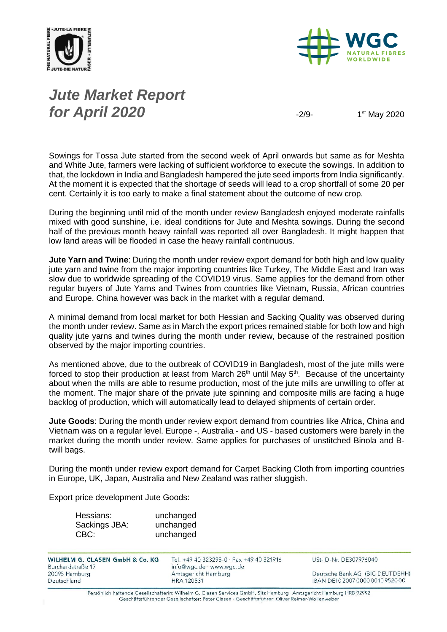



# *Jute Market Report for April 2020*  $\frac{2}{9}$

1<sup>st</sup> May 2020

Sowings for Tossa Jute started from the second week of April onwards but same as for Meshta and White Jute, farmers were lacking of sufficient workforce to execute the sowings. In addition to that, the lockdown in India and Bangladesh hampered the jute seed imports from India significantly. At the moment it is expected that the shortage of seeds will lead to a crop shortfall of some 20 per cent. Certainly it is too early to make a final statement about the outcome of new crop.

During the beginning until mid of the month under review Bangladesh enjoyed moderate rainfalls mixed with good sunshine, i.e. ideal conditions for Jute and Meshta sowings. During the second half of the previous month heavy rainfall was reported all over Bangladesh. It might happen that low land areas will be flooded in case the heavy rainfall continuous.

**Jute Yarn and Twine**: During the month under review export demand for both high and low quality jute yarn and twine from the major importing countries like Turkey, The Middle East and Iran was slow due to worldwide spreading of the COVID19 virus. Same applies for the demand from other regular buyers of Jute Yarns and Twines from countries like Vietnam, Russia, African countries and Europe. China however was back in the market with a regular demand.

A minimal demand from local market for both Hessian and Sacking Quality was observed during the month under review. Same as in March the export prices remained stable for both low and high quality jute yarns and twines during the month under review, because of the restrained position observed by the major importing countries.

As mentioned above, due to the outbreak of COVID19 in Bangladesh, most of the jute mills were forced to stop their production at least from March 26<sup>th</sup> until May 5<sup>th</sup>. Because of the uncertainty about when the mills are able to resume production, most of the jute mills are unwilling to offer at the moment. The major share of the private jute spinning and composite mills are facing a huge backlog of production, which will automatically lead to delayed shipments of certain order.

**Jute Goods**: During the month under review export demand from countries like Africa, China and Vietnam was on a regular level. Europe -, Australia - and US - based customers were barely in the market during the month under review. Same applies for purchases of unstitched Binola and Btwill bags.

During the month under review export demand for Carpet Backing Cloth from importing countries in Europe, UK, Japan, Australia and New Zealand was rather sluggish.

Export price development Jute Goods:

| Hessians:     | unchanged |
|---------------|-----------|
| Sackings JBA: | unchanged |
| CBC:          | unchanged |

| WILHELM G. CLASEN GmbH & Co. KG<br>Burchardstraße 17 | Tel. +49 40 323295-0 · Fax +49 40 321916<br>info@wgc.de · www.wgc.de | USt-ID-Nr. DE307976040           |
|------------------------------------------------------|----------------------------------------------------------------------|----------------------------------|
| 20095 Hamburg                                        | Amtsgericht Hamburg                                                  | Deutsche Bank AG (BIC DEUTDEHH)  |
| Deutschland                                          | <b>HRA 120531</b>                                                    | IBAN DE10 2007 0000 0010 9520 00 |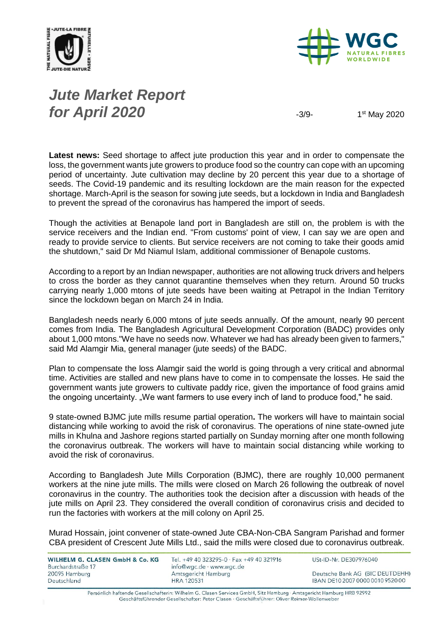



# *Jute Market Report for April 2020*  $\frac{3}{9}$

1<sup>st</sup> May 2020

**Latest news:** Seed shortage to affect jute production this year and in order to compensate the loss, the government wants jute growers to produce food so the country can cope with an upcoming period of uncertainty. Jute cultivation may decline by 20 percent this year due to a shortage of seeds. The Covid-19 pandemic and its resulting lockdown are the main reason for the expected shortage. March-April is the season for sowing jute seeds, but a lockdown in India and Bangladesh to prevent the spread of the coronavirus has hampered the import of seeds.

Though the activities at Benapole land port in Bangladesh are still on, the problem is with the service receivers and the Indian end. "From customs' point of view, I can say we are open and ready to provide service to clients. But service receivers are not coming to take their goods amid the shutdown," said Dr Md Niamul Islam, additional commissioner of Benapole customs.

According to a report by an Indian newspaper, authorities are not allowing truck drivers and helpers to cross the border as they cannot quarantine themselves when they return. Around 50 trucks carrying nearly 1,000 mtons of jute seeds have been waiting at Petrapol in the Indian Territory since the lockdown began on March 24 in India.

Bangladesh needs nearly 6,000 mtons of jute seeds annually. Of the amount, nearly 90 percent comes from India. The Bangladesh Agricultural Development Corporation (BADC) provides only about 1,000 mtons."We have no seeds now. Whatever we had has already been given to farmers," said Md Alamgir Mia, general manager (jute seeds) of the BADC.

Plan to compensate the loss Alamgir said the world is going through a very critical and abnormal time. Activities are stalled and new plans have to come in to compensate the losses. He said the government wants jute growers to cultivate paddy rice, given the importance of food grains amid the ongoing uncertainty. "We want farmers to use every inch of land to produce food," he said.

9 state-owned BJMC jute mills resume partial operation**.** The workers will have to maintain social distancing while working to avoid the risk of coronavirus. The operations of nine state-owned jute mills in Khulna and Jashore regions started partially on Sunday morning after one month following the coronavirus outbreak. The workers will have to maintain social distancing while working to avoid the risk of coronavirus.

According to Bangladesh Jute Mills Corporation (BJMC), there are roughly 10,000 permanent workers at the nine jute mills. The mills were closed on March 26 following the outbreak of novel coronavirus in the country. The authorities took the decision after a discussion with heads of the jute mills on April 23. They considered the overall condition of coronavirus crisis and decided to run the factories with workers at the mill colony on April 25.

Murad Hossain, joint convener of state-owned Jute CBA-Non-CBA Sangram Parishad and former CBA president of Crescent Jute Mills Ltd., said the mills were closed due to coronavirus outbreak.

| WILHELM G. CLASEN GmbH & Co. KG    | Tel. +49 40 323295-0 · Fax +49 40 321916        | USt-ID-Nr. DE307976040           |
|------------------------------------|-------------------------------------------------|----------------------------------|
| Burchardstraße 17<br>20095 Hamburg | info@wgc.de · www.wgc.de<br>Amtsgericht Hamburg | Deutsche Bank AG (BIC DEUTDEHH)  |
| Deutschland                        | <b>HRA 120531</b>                               | IBAN DE10 2007 0000 0010 9520 00 |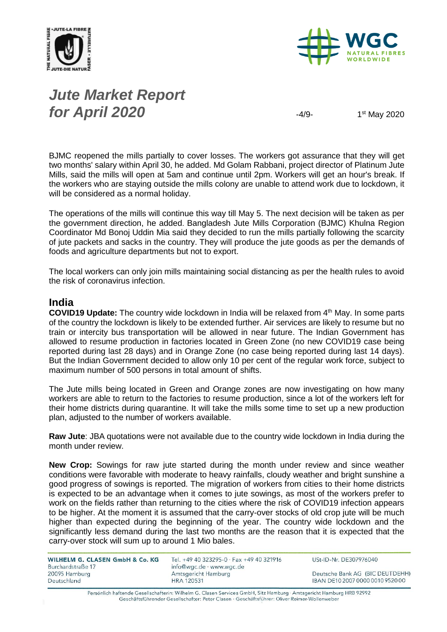



# *Jute Market Report for April 2020*  $-4/9-$

1<sup>st</sup> May 2020

BJMC reopened the mills partially to cover losses. The workers got assurance that they will get two months' salary within April 30, he added. Md Golam Rabbani, project director of Platinum Jute Mills, said the mills will open at 5am and continue until 2pm. Workers will get an hour's break. If the workers who are staying outside the mills colony are unable to attend work due to lockdown, it will be considered as a normal holiday.

The operations of the mills will continue this way till May 5. The next decision will be taken as per the government direction, he added. Bangladesh Jute Mills Corporation (BJMC) Khulna Region Coordinator Md Bonoj Uddin Mia said they decided to run the mills partially following the scarcity of jute packets and sacks in the country. They will produce the jute goods as per the demands of foods and agriculture departments but not to export.

The local workers can only join mills maintaining social distancing as per the health rules to avoid the risk of coronavirus infection.

#### **India**

**COVID19 Update:** The country wide lockdown in India will be relaxed from 4<sup>th</sup> May. In some parts of the country the lockdown is likely to be extended further. Air services are likely to resume but no train or intercity bus transportation will be allowed in near future. The Indian Government has allowed to resume production in factories located in Green Zone (no new COVID19 case being reported during last 28 days) and in Orange Zone (no case being reported during last 14 days). But the Indian Government decided to allow only 10 per cent of the regular work force, subject to maximum number of 500 persons in total amount of shifts.

The Jute mills being located in Green and Orange zones are now investigating on how many workers are able to return to the factories to resume production, since a lot of the workers left for their home districts during quarantine. It will take the mills some time to set up a new production plan, adjusted to the number of workers available.

**Raw Jute**: JBA quotations were not available due to the country wide lockdown in India during the month under review.

**New Crop:** Sowings for raw jute started during the month under review and since weather conditions were favorable with moderate to heavy rainfalls, cloudy weather and bright sunshine a good progress of sowings is reported. The migration of workers from cities to their home districts is expected to be an advantage when it comes to jute sowings, as most of the workers prefer to work on the fields rather than returning to the cities where the risk of COVID19 infection appears to be higher. At the moment it is assumed that the carry-over stocks of old crop jute will be much higher than expected during the beginning of the year. The country wide lockdown and the significantly less demand during the last two months are the reason that it is expected that the carry-over stock will sum up to around 1 Mio bales.

| <b>WILHELM G. CLASEN GmbH &amp; Co. KG</b> |  |  |
|--------------------------------------------|--|--|
| Burchardstraße 17                          |  |  |
| 20095 Hamburg                              |  |  |
| Deutschland                                |  |  |

Tel. +49 40 323295-0 · Fax +49 40 321916 info@wgc.de · www.wgc.de Amtsgericht Hamburg **HRA 120531** 

USt-ID-Nr. DE307976040

Deutsche Bank AG (BIC DEUTDEHH) IBAN DE10 2007 0000 0010 9520 00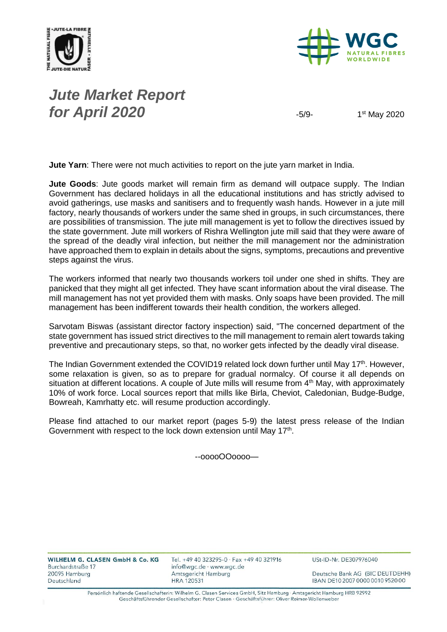



#### *Jute Market Report for April 2020*  $-5/9$

1<sup>st</sup> May 2020

**Jute Yarn**: There were not much activities to report on the jute yarn market in India.

**Jute Goods**: Jute goods market will remain firm as demand will outpace supply. The Indian Government has declared holidays in all the educational institutions and has strictly advised to avoid gatherings, use masks and sanitisers and to frequently wash hands. However in a jute mill factory, nearly thousands of workers under the same shed in groups, in such circumstances, there are possibilities of transmission. The jute mill management is yet to follow the directives issued by the state government. Jute mill workers of Rishra Wellington jute mill said that they were aware of the spread of the deadly viral infection, but neither the mill management nor the administration have approached them to explain in details about the signs, symptoms, precautions and preventive steps against the virus.

The workers informed that nearly two thousands workers toil under one shed in shifts. They are panicked that they might all get infected. They have scant information about the viral disease. The mill management has not yet provided them with masks. Only soaps have been provided. The mill management has been indifferent towards their health condition, the workers alleged.

Sarvotam Biswas (assistant director factory inspection) said, "The concerned department of the state government has issued strict directives to the mill management to remain alert towards taking preventive and precautionary steps, so that, no worker gets infected by the deadly viral disease.

The Indian Government extended the COVID19 related lock down further until May 17<sup>th</sup>. However, some relaxation is given, so as to prepare for gradual normalcy. Of course it all depends on situation at different locations. A couple of Jute mills will resume from 4<sup>th</sup> May, with approximately 10% of work force. Local sources report that mills like Birla, Cheviot, Caledonian, Budge-Budge, Bowreah, Kamrhatty etc. will resume production accordingly.

Please find attached to our market report (pages 5-9) the latest press release of the Indian Government with respect to the lock down extension until May 17<sup>th</sup>.

--ooooOOoooo—

WILHELM G. CLASEN GmbH & Co. KG Burchardstraße 17 20095 Hamburg Deutschland

Tel. +49 40 323295-0 · Fax +49 40 321916 info@wgc.de · www.wgc.de Amtsgericht Hamburg **HRA 120531** 

USt-ID-Nr. DE307976040

Deutsche Bank AG (BIC DEUTDEHH) IBAN DE10 2007 0000 0010 9520 00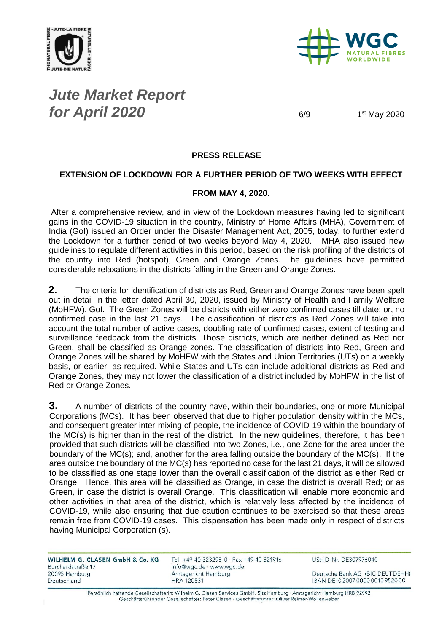



### *Jute Market Report for April 2020*  $-6/9$

1<sup>st</sup> May 2020

#### **PRESS RELEASE**

#### **EXTENSION OF LOCKDOWN FOR A FURTHER PERIOD OF TWO WEEKS WITH EFFECT**

#### **FROM MAY 4, 2020.**

After a comprehensive review, and in view of the Lockdown measures having led to significant gains in the COVID-19 situation in the country, Ministry of Home Affairs (MHA), Government of India (GoI) issued an Order under the Disaster Management Act, 2005, today, to further extend the Lockdown for a further period of two weeks beyond May 4, 2020. MHA also issued new guidelines to regulate different activities in this period, based on the risk profiling of the districts of the country into Red (hotspot), Green and Orange Zones. The guidelines have permitted considerable relaxations in the districts falling in the Green and Orange Zones.

**2.** The criteria for identification of districts as Red, Green and Orange Zones have been spelt out in detail in the letter dated April 30, 2020, issued by Ministry of Health and Family Welfare (MoHFW), GoI. The Green Zones will be districts with either zero confirmed cases till date; or, no confirmed case in the last 21 days. The classification of districts as Red Zones will take into account the total number of active cases, doubling rate of confirmed cases, extent of testing and surveillance feedback from the districts. Those districts, which are neither defined as Red nor Green, shall be classified as Orange zones. The classification of districts into Red, Green and Orange Zones will be shared by MoHFW with the States and Union Territories (UTs) on a weekly basis, or earlier, as required. While States and UTs can include additional districts as Red and Orange Zones, they may not lower the classification of a district included by MoHFW in the list of Red or Orange Zones.

**3.** A number of districts of the country have, within their boundaries, one or more Municipal Corporations (MCs). It has been observed that due to higher population density within the MCs, and consequent greater inter-mixing of people, the incidence of COVID-19 within the boundary of the MC(s) is higher than in the rest of the district. In the new guidelines, therefore, it has been provided that such districts will be classified into two Zones, i.e., one Zone for the area under the boundary of the MC(s); and, another for the area falling outside the boundary of the MC(s). If the area outside the boundary of the MC(s) has reported no case for the last 21 days, it will be allowed to be classified as one stage lower than the overall classification of the district as either Red or Orange. Hence, this area will be classified as Orange, in case the district is overall Red; or as Green, in case the district is overall Orange. This classification will enable more economic and other activities in that area of the district, which is relatively less affected by the incidence of COVID-19, while also ensuring that due caution continues to be exercised so that these areas remain free from COVID-19 cases. This dispensation has been made only in respect of districts having Municipal Corporation (s).

| Tel. +49 40 323295-0 · Fax +49 40 321916 | USt-ID-Nr. DE307976040           |
|------------------------------------------|----------------------------------|
| info@wgc.de · www.wgc.de                 |                                  |
| Amtsgericht Hamburg                      | Deutsche Bank AG (BIC DEUTDEHH)  |
| <b>HRA 120531</b>                        | IBAN DE10 2007 0000 0010 9520 00 |
|                                          |                                  |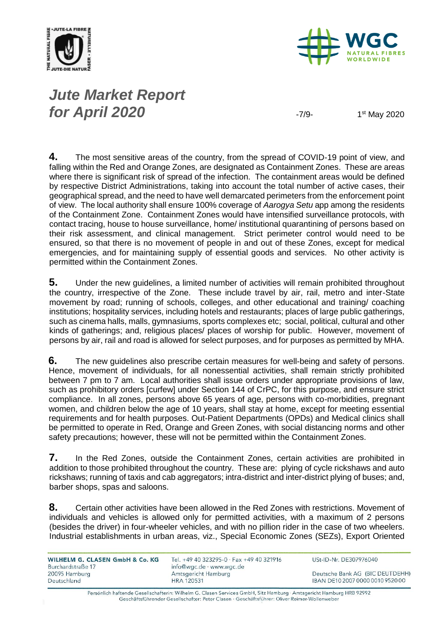



# *Jute Market Report for April 2020* -7/9-

1<sup>st</sup> May 2020

**4.** The most sensitive areas of the country, from the spread of COVID-19 point of view, and falling within the Red and Orange Zones, are designated as Containment Zones. These are areas where there is significant risk of spread of the infection. The containment areas would be defined by respective District Administrations, taking into account the total number of active cases, their geographical spread, and the need to have well demarcated perimeters from the enforcement point of view. The local authority shall ensure 100% coverage of *Aarogya Setu* app among the residents of the Containment Zone. Containment Zones would have intensified surveillance protocols, with contact tracing, house to house surveillance, home/ institutional quarantining of persons based on their risk assessment, and clinical management. Strict perimeter control would need to be ensured, so that there is no movement of people in and out of these Zones, except for medical emergencies, and for maintaining supply of essential goods and services. No other activity is permitted within the Containment Zones.

**5.** Under the new guidelines, a limited number of activities will remain prohibited throughout the country, irrespective of the Zone. These include travel by air, rail, metro and inter-State movement by road; running of schools, colleges, and other educational and training/ coaching institutions; hospitality services, including hotels and restaurants; places of large public gatherings, such as cinema halls, malls, gymnasiums, sports complexes etc; social, political, cultural and other kinds of gatherings; and, religious places/ places of worship for public. However, movement of persons by air, rail and road is allowed for select purposes, and for purposes as permitted by MHA.

**6.** The new guidelines also prescribe certain measures for well-being and safety of persons. Hence, movement of individuals, for all nonessential activities, shall remain strictly prohibited between 7 pm to 7 am. Local authorities shall issue orders under appropriate provisions of law, such as prohibitory orders [curfew] under Section 144 of CrPC, for this purpose, and ensure strict compliance. In all zones, persons above 65 years of age, persons with co-morbidities, pregnant women, and children below the age of 10 years, shall stay at home, except for meeting essential requirements and for health purposes. Out-Patient Departments (OPDs) and Medical clinics shall be permitted to operate in Red, Orange and Green Zones, with social distancing norms and other safety precautions; however, these will not be permitted within the Containment Zones.

**7.** In the Red Zones, outside the Containment Zones, certain activities are prohibited in addition to those prohibited throughout the country. These are: plying of cycle rickshaws and auto rickshaws; running of taxis and cab aggregators; intra-district and inter-district plying of buses; and, barber shops, spas and saloons.

**8.** Certain other activities have been allowed in the Red Zones with restrictions. Movement of individuals and vehicles is allowed only for permitted activities, with a maximum of 2 persons (besides the driver) in four-wheeler vehicles, and with no pillion rider in the case of two wheelers. Industrial establishments in urban areas, viz., Special Economic Zones (SEZs), Export Oriented

| WILHELM G. CLASEN GmbH & Co. KG<br>Burchardstraße 17 | Tel. +49 40 323295-0 · Fax +49 40 321916<br>info@wgc.de · www.wgc.de | USt-ID-Nr. DE307976040           |
|------------------------------------------------------|----------------------------------------------------------------------|----------------------------------|
| 20095 Hamburg                                        | Amtsgericht Hamburg                                                  | Deutsche Bank AG (BIC DEUTDEHH)  |
| Deutschland                                          | <b>HRA 120531</b>                                                    | IBAN DE10 2007 0000 0010 9520 00 |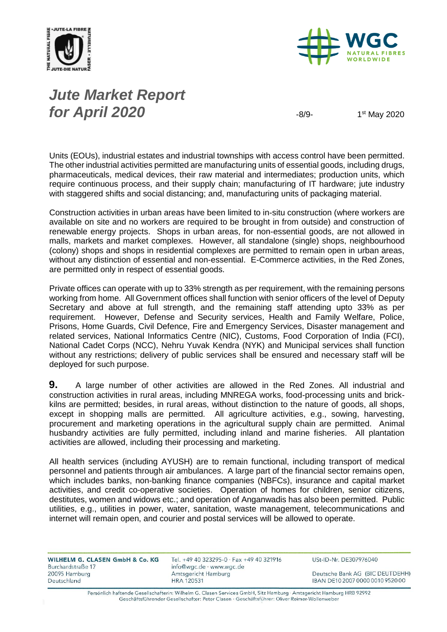



# *Jute Market Report for April 2020*  $-8/9$

1<sup>st</sup> May 2020

Units (EOUs), industrial estates and industrial townships with access control have been permitted. The other industrial activities permitted are manufacturing units of essential goods, including drugs, pharmaceuticals, medical devices, their raw material and intermediates; production units, which require continuous process, and their supply chain; manufacturing of IT hardware; jute industry with staggered shifts and social distancing; and, manufacturing units of packaging material.

Construction activities in urban areas have been limited to in-situ construction (where workers are available on site and no workers are required to be brought in from outside) and construction of renewable energy projects. Shops in urban areas, for non-essential goods, are not allowed in malls, markets and market complexes. However, all standalone (single) shops, neighbourhood (colony) shops and shops in residential complexes are permitted to remain open in urban areas, without any distinction of essential and non-essential. E-Commerce activities, in the Red Zones, are permitted only in respect of essential goods.

Private offices can operate with up to 33% strength as per requirement, with the remaining persons working from home. All Government offices shall function with senior officers of the level of Deputy Secretary and above at full strength, and the remaining staff attending upto 33% as per requirement. However, Defense and Security services, Health and Family Welfare, Police, Prisons, Home Guards, Civil Defence, Fire and Emergency Services, Disaster management and related services, National Informatics Centre (NIC), Customs, Food Corporation of India (FCI), National Cadet Corps (NCC), Nehru Yuvak Kendra (NYK) and Municipal services shall function without any restrictions; delivery of public services shall be ensured and necessary staff will be deployed for such purpose.

**9.** A large number of other activities are allowed in the Red Zones. All industrial and construction activities in rural areas, including MNREGA works, food-processing units and brickkilns are permitted; besides, in rural areas, without distinction to the nature of goods, all shops, except in shopping malls are permitted. All agriculture activities, e.g., sowing, harvesting, procurement and marketing operations in the agricultural supply chain are permitted. Animal husbandry activities are fully permitted, including inland and marine fisheries. All plantation activities are allowed, including their processing and marketing.

All health services (including AYUSH) are to remain functional, including transport of medical personnel and patients through air ambulances. A large part of the financial sector remains open, which includes banks, non-banking finance companies (NBFCs), insurance and capital market activities, and credit co-operative societies. Operation of homes for children, senior citizens, destitutes, women and widows etc.; and operation of Anganwadis has also been permitted. Public utilities, e.g., utilities in power, water, sanitation, waste management, telecommunications and internet will remain open, and courier and postal services will be allowed to operate.

| WILHELM G. CLASEN GmbH & Co. KG<br>Burchardstraße 17 | Tel. +49 40 323295-0 · Fax +49 40 321916<br>info@wgc.de · www.wgc.de | USt-ID-Nr. DE307976040           |
|------------------------------------------------------|----------------------------------------------------------------------|----------------------------------|
| 20095 Hamburg                                        | Amtsgericht Hamburg                                                  | Deutsche Bank AG (BIC DEUTDEHH)  |
| Deutschland                                          | <b>HRA 120531</b>                                                    | IBAN DE10 2007 0000 0010 9520 00 |